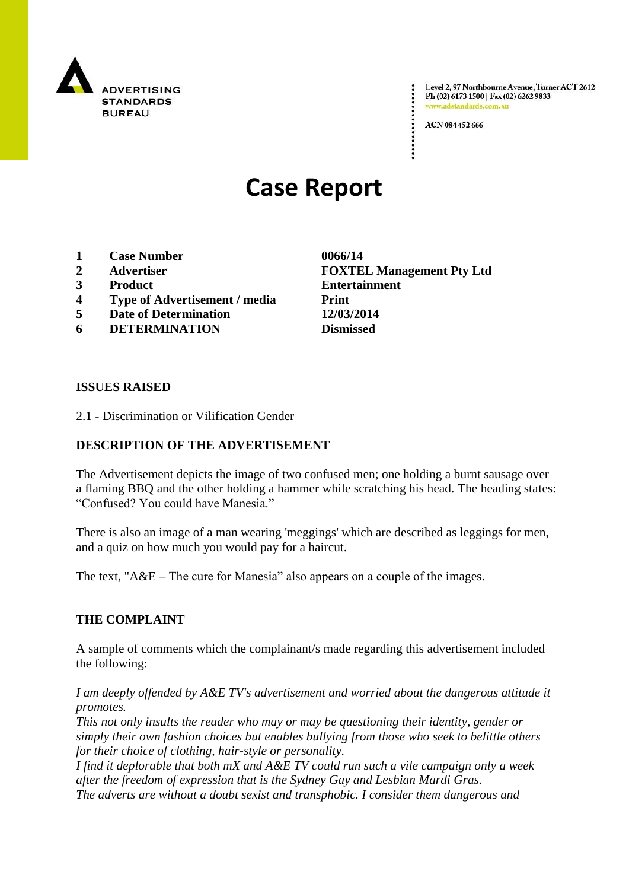

Level 2, 97 Northbourne Avenue, Turner ACT 2612 Ph (02) 6173 1500 | Fax (02) 6262 9833 adstandards.com.a

ACN 084 452 666

# **Case Report**

- **1 Case Number 0066/14**
- 
- 
- **4 Type of Advertisement / media Print**
- **5 Date of Determination 12/03/2014**
- **6 DETERMINATION Dismissed**

**2 Advertiser FOXTEL Management Pty Ltd 3 Product Entertainment**

#### **ISSUES RAISED**

2.1 - Discrimination or Vilification Gender

#### **DESCRIPTION OF THE ADVERTISEMENT**

The Advertisement depicts the image of two confused men; one holding a burnt sausage over a flaming BBQ and the other holding a hammer while scratching his head. The heading states: "Confused? You could have Manesia."

There is also an image of a man wearing 'meggings' which are described as leggings for men, and a quiz on how much you would pay for a haircut.

The text, "A&E – The cure for Manesia" also appears on a couple of the images.

## **THE COMPLAINT**

A sample of comments which the complainant/s made regarding this advertisement included the following:

*I am deeply offended by A&E TV's advertisement and worried about the dangerous attitude it promotes.*

*This not only insults the reader who may or may be questioning their identity, gender or simply their own fashion choices but enables bullying from those who seek to belittle others for their choice of clothing, hair-style or personality.*

*I find it deplorable that both mX and A&E TV could run such a vile campaign only a week after the freedom of expression that is the Sydney Gay and Lesbian Mardi Gras.*

*The adverts are without a doubt sexist and transphobic. I consider them dangerous and*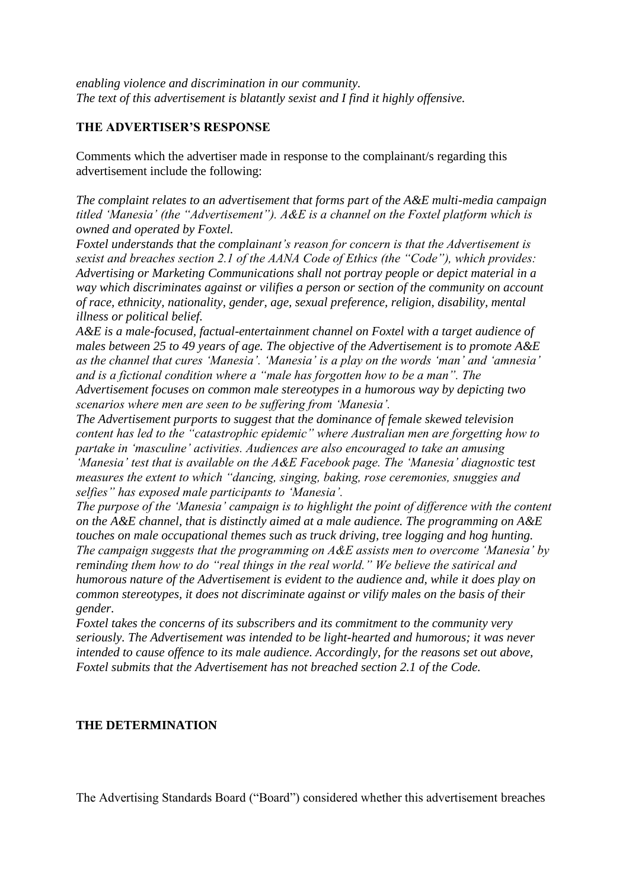*enabling violence and discrimination in our community. The text of this advertisement is blatantly sexist and I find it highly offensive.*

## **THE ADVERTISER'S RESPONSE**

Comments which the advertiser made in response to the complainant/s regarding this advertisement include the following:

*The complaint relates to an advertisement that forms part of the A&E multi-media campaign titled "Manesia" (the "Advertisement"). A&E is a channel on the Foxtel platform which is owned and operated by Foxtel.*

*Foxtel understands that the complainant"s reason for concern is that the Advertisement is sexist and breaches section 2.1 of the AANA Code of Ethics (the "Code"), which provides: Advertising or Marketing Communications shall not portray people or depict material in a way which discriminates against or vilifies a person or section of the community on account of race, ethnicity, nationality, gender, age, sexual preference, religion, disability, mental illness or political belief.*

*A&E is a male-focused, factual-entertainment channel on Foxtel with a target audience of males between 25 to 49 years of age. The objective of the Advertisement is to promote A&E as the channel that cures "Manesia". "Manesia" is a play on the words "man" and "amnesia" and is a fictional condition where a "male has forgotten how to be a man". The Advertisement focuses on common male stereotypes in a humorous way by depicting two scenarios where men are seen to be suffering from "Manesia".*

*The Advertisement purports to suggest that the dominance of female skewed television content has led to the "catastrophic epidemic" where Australian men are forgetting how to partake in "masculine" activities. Audiences are also encouraged to take an amusing "Manesia" test that is available on the A&E Facebook page. The "Manesia" diagnostic test measures the extent to which "dancing, singing, baking, rose ceremonies, snuggies and selfies" has exposed male participants to "Manesia".*

*The purpose of the "Manesia" campaign is to highlight the point of difference with the content on the A&E channel, that is distinctly aimed at a male audience. The programming on A&E touches on male occupational themes such as truck driving, tree logging and hog hunting. The campaign suggests that the programming on A&E assists men to overcome "Manesia" by reminding them how to do "real things in the real world." We believe the satirical and humorous nature of the Advertisement is evident to the audience and, while it does play on common stereotypes, it does not discriminate against or vilify males on the basis of their gender.*

*Foxtel takes the concerns of its subscribers and its commitment to the community very seriously. The Advertisement was intended to be light-hearted and humorous; it was never intended to cause offence to its male audience. Accordingly, for the reasons set out above, Foxtel submits that the Advertisement has not breached section 2.1 of the Code.*

## **THE DETERMINATION**

The Advertising Standards Board ("Board") considered whether this advertisement breaches